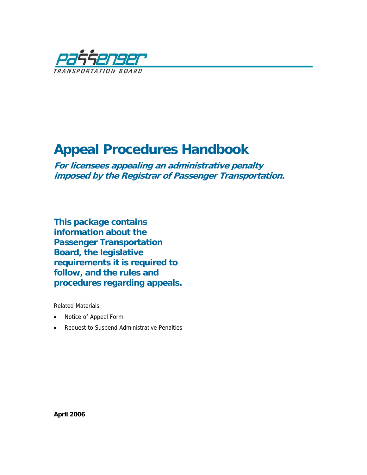

# **Appeal Procedures Handbook**

**For licensees appealing an administrative penalty imposed by the Registrar of Passenger Transportation.** 

**This package contains information about the Passenger Transportation Board, the legislative requirements it is required to follow, and the rules and procedures regarding appeals.** 

Related Materials:

- Notice of Appeal Form
- Request to Suspend Administrative Penalties

**April 2006**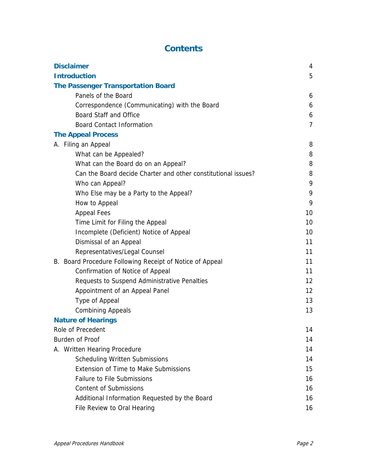# **Contents**

| <b>Disclaimer</b>                                             |                 |  |
|---------------------------------------------------------------|-----------------|--|
| <b>Introduction</b>                                           |                 |  |
| <b>The Passenger Transportation Board</b>                     |                 |  |
| Panels of the Board                                           | 6               |  |
| Correspondence (Communicating) with the Board                 | 6               |  |
| <b>Board Staff and Office</b>                                 | 6               |  |
| <b>Board Contact Information</b>                              | $\overline{7}$  |  |
| <b>The Appeal Process</b>                                     |                 |  |
| A. Filing an Appeal                                           | 8               |  |
| What can be Appealed?                                         | 8               |  |
| What can the Board do on an Appeal?                           | 8               |  |
| Can the Board decide Charter and other constitutional issues? | 8               |  |
| Who can Appeal?                                               | 9               |  |
| Who Else may be a Party to the Appeal?                        | 9               |  |
| How to Appeal                                                 | 9               |  |
| <b>Appeal Fees</b>                                            | 10              |  |
| Time Limit for Filing the Appeal                              | 10              |  |
| Incomplete (Deficient) Notice of Appeal                       | 10              |  |
| Dismissal of an Appeal                                        | 11              |  |
| Representatives/Legal Counsel                                 | 11              |  |
| B. Board Procedure Following Receipt of Notice of Appeal      | 11              |  |
| Confirmation of Notice of Appeal                              | 11              |  |
| Requests to Suspend Administrative Penalties                  | 12              |  |
| Appointment of an Appeal Panel                                | 12 <sup>2</sup> |  |
| Type of Appeal                                                | 13              |  |
| <b>Combining Appeals</b>                                      | 13              |  |
| <b>Nature of Hearings</b>                                     |                 |  |
| Role of Precedent                                             | 14              |  |
| Burden of Proof                                               | 14              |  |
| A. Written Hearing Procedure                                  | 14              |  |
| <b>Scheduling Written Submissions</b>                         | 14              |  |
| <b>Extension of Time to Make Submissions</b>                  | 15              |  |
| <b>Failure to File Submissions</b>                            | 16              |  |
| <b>Content of Submissions</b>                                 | 16              |  |
| Additional Information Requested by the Board                 | 16              |  |
| File Review to Oral Hearing                                   | 16              |  |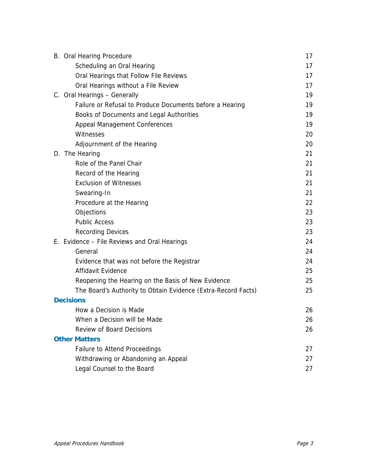| B. Oral Hearing Procedure                                     | 17 |
|---------------------------------------------------------------|----|
| Scheduling an Oral Hearing                                    | 17 |
| Oral Hearings that Follow File Reviews                        | 17 |
| Oral Hearings without a File Review                           | 17 |
| C. Oral Hearings - Generally                                  | 19 |
| Failure or Refusal to Produce Documents before a Hearing      | 19 |
| Books of Documents and Legal Authorities                      | 19 |
| <b>Appeal Management Conferences</b>                          | 19 |
| Witnesses                                                     | 20 |
| Adjournment of the Hearing                                    | 20 |
| D. The Hearing                                                | 21 |
| Role of the Panel Chair                                       | 21 |
| Record of the Hearing                                         | 21 |
| <b>Exclusion of Witnesses</b>                                 | 21 |
| Swearing-In                                                   | 21 |
| Procedure at the Hearing                                      | 22 |
| Objections                                                    | 23 |
| <b>Public Access</b>                                          | 23 |
| <b>Recording Devices</b>                                      | 23 |
| E. Evidence - File Reviews and Oral Hearings                  |    |
| General                                                       | 24 |
| Evidence that was not before the Registrar                    | 24 |
| Affidavit Evidence                                            | 25 |
| Reopening the Hearing on the Basis of New Evidence            | 25 |
| The Board's Authority to Obtain Evidence (Extra-Record Facts) | 25 |
| <b>Decisions</b>                                              |    |
| How a Decision is Made                                        | 26 |
| When a Decision will be Made                                  | 26 |
| <b>Review of Board Decisions</b>                              | 26 |
| <b>Other Matters</b>                                          |    |
| <b>Failure to Attend Proceedings</b>                          | 27 |
| Withdrawing or Abandoning an Appeal                           | 27 |
| Legal Counsel to the Board                                    | 27 |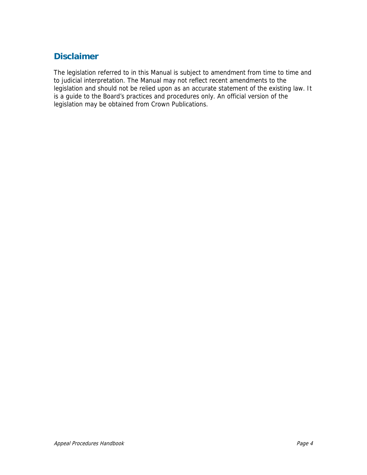# **Disclaimer**

The legislation referred to in this Manual is subject to amendment from time to time and to judicial interpretation. The Manual may not reflect recent amendments to the legislation and should not be relied upon as an accurate statement of the existing law. It is a guide to the Board's practices and procedures only. An official version of the legislation may be obtained from Crown Publications.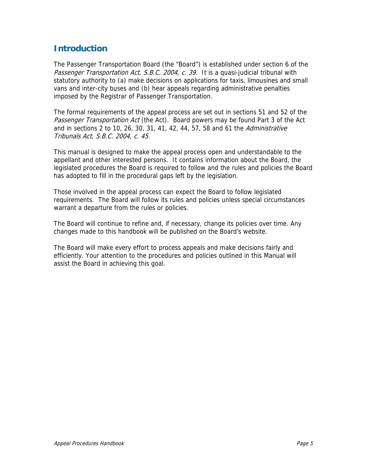# **Introduction**

The Passenger Transportation Board (the "Board") is established under section 6 of the Passenger Transportation Act, S.B.C. 2004, c. 39. It is a quasi-judicial tribunal with statutory authority to (a) make decisions on applications for taxis, limousines and small vans and inter-city buses and (b) hear appeals regarding administrative penalties imposed by the Registrar of Passenger Transportation.

The formal requirements of the appeal process are set out in sections 51 and 52 of the Passenger Transportation Act (the Act). Board powers may be found Part 3 of the Act and in sections 2 to 10, 26, 30, 31, 41, 42, 44, 57, 58 and 61 the Administrative Tribunals Act, S.B.C. 2004, c. 45.

This manual is designed to make the appeal process open and understandable to the appellant and other interested persons. It contains information about the Board, the legislated procedures the Board is required to follow and the rules and policies the Board has adopted to fill in the procedural gaps left by the legislation.

Those involved in the appeal process can expect the Board to follow legislated requirements. The Board will follow its rules and policies unless special circumstances warrant a departure from the rules or policies.

The Board will continue to refine and, if necessary, change its policies over time. Any changes made to this handbook will be published on the Board's website.

The Board will make every effort to process appeals and make decisions fairly and efficiently. Your attention to the procedures and policies outlined in this Manual will assist the Board in achieving this goal.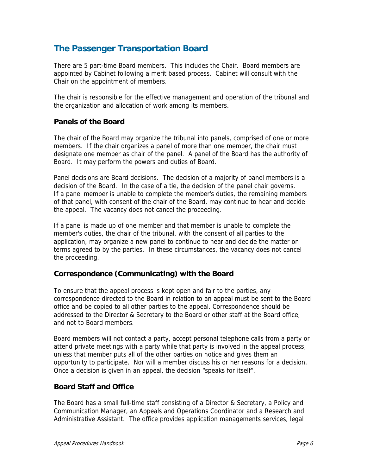# **The Passenger Transportation Board**

There are 5 part-time Board members. This includes the Chair. Board members are appointed by Cabinet following a merit based process. Cabinet will consult with the Chair on the appointment of members.

The chair is responsible for the effective management and operation of the tribunal and the organization and allocation of work among its members.

#### **Panels of the Board**

The chair of the Board may organize the tribunal into panels, comprised of one or more members. If the chair organizes a panel of more than one member, the chair must designate one member as chair of the panel. A panel of the Board has the authority of Board. It may perform the powers and duties of Board.

Panel decisions are Board decisions. The decision of a majority of panel members is a decision of the Board. In the case of a tie, the decision of the panel chair governs. If a panel member is unable to complete the member's duties, the remaining members of that panel, with consent of the chair of the Board, may continue to hear and decide the appeal. The vacancy does not cancel the proceeding.

If a panel is made up of one member and that member is unable to complete the member's duties, the chair of the tribunal, with the consent of all parties to the application, may organize a new panel to continue to hear and decide the matter on terms agreed to by the parties. In these circumstances, the vacancy does not cancel the proceeding.

#### **Correspondence (Communicating) with the Board**

To ensure that the appeal process is kept open and fair to the parties, any correspondence directed to the Board in relation to an appeal must be sent to the Board office and be copied to all other parties to the appeal. Correspondence should be addressed to the Director & Secretary to the Board or other staff at the Board office, and not to Board members.

Board members will not contact a party, accept personal telephone calls from a party or attend private meetings with a party while that party is involved in the appeal process, unless that member puts all of the other parties on notice and gives them an opportunity to participate. Nor will a member discuss his or her reasons for a decision. Once a decision is given in an appeal, the decision "speaks for itself".

#### **Board Staff and Office**

The Board has a small full-time staff consisting of a Director & Secretary, a Policy and Communication Manager, an Appeals and Operations Coordinator and a Research and Administrative Assistant. The office provides application managements services, legal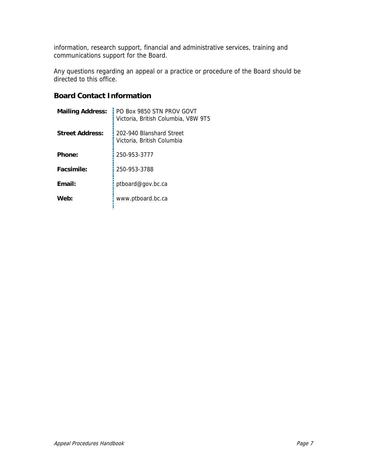information, research support, financial and administrative services, training and communications support for the Board.

Any questions regarding an appeal or a practice or procedure of the Board should be directed to this office.

# **Board Contact Information**

| <b>Mailing Address:</b> | PO Box 9850 STN PROV GOVT<br>Victoria. British Columbia. V8W 9T5 |  |
|-------------------------|------------------------------------------------------------------|--|
| <b>Street Address:</b>  | 202-940 Blanshard Street<br>Victoria, British Columbia           |  |
| Phone:                  | 250-953-3777                                                     |  |
| Facsimile:              | 250-953-3788                                                     |  |
| Email:                  | ptboard@gov.bc.ca                                                |  |
| Web:                    | www.ptboard.bc.ca                                                |  |
|                         |                                                                  |  |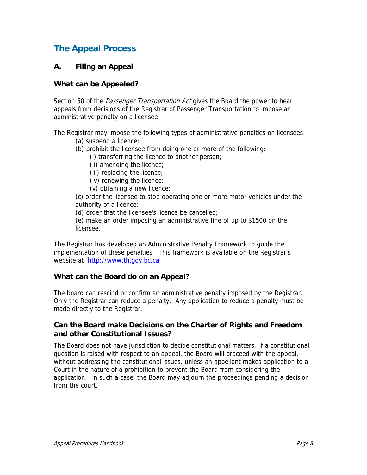# **The Appeal Process**

#### **A. Filing an Appeal**

#### **What can be Appealed?**

Section 50 of the *Passenger Transportation Act* gives the Board the power to hear appeals from decisions of the Registrar of Passenger Transportation to impose an administrative penalty on a licensee.

The Registrar may impose the following types of administrative penalties on licensees:

- (a) suspend a licence;
- (b) prohibit the licensee from doing one or more of the following:
	- (i) transferring the licence to another person;
	- (ii) amending the licence;
	- (iii) replacing the licence;
	- (iv) renewing the licence;
	- (v) obtaining a new licence;

(c) order the licensee to stop operating one or more motor vehicles under the authority of a licence;

(d) order that the licensee's licence be cancelled;

(e) make an order imposing an administrative fine of up to \$1500 on the licensee.

The Registrar has developed an Administrative Penalty Framework to guide the implementation of these penalties. This framework is available on the Registrar's website at http://www.th.gov.bc.ca

#### **What can the Board do on an Appeal?**

The board can rescind or confirm an administrative penalty imposed by the Registrar. Only the Registrar can reduce a penalty. Any application to reduce a penalty must be made directly to the Registrar.

#### **Can the Board make Decisions on the Charter of Rights and Freedom and other Constitutional Issues?**

The Board does not have jurisdiction to decide constitutional matters. If a constitutional question is raised with respect to an appeal, the Board will proceed with the appeal, without addressing the constitutional issues, unless an appellant makes application to a Court in the nature of a prohibition to prevent the Board from considering the application. In such a case, the Board may adjourn the proceedings pending a decision from the court.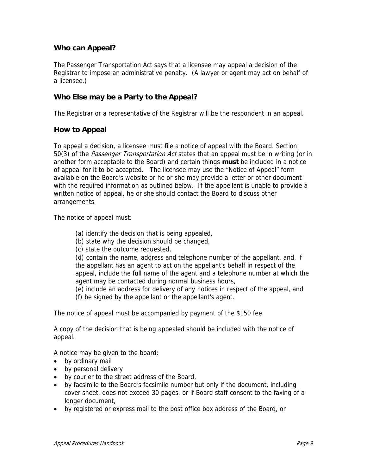# **Who can Appeal?**

The Passenger Transportation Act says that a licensee may appeal a decision of the Registrar to impose an administrative penalty. (A lawyer or agent may act on behalf of a licensee.)

# **Who Else may be a Party to the Appeal?**

The Registrar or a representative of the Registrar will be the respondent in an appeal.

#### **How to Appeal**

To appeal a decision, a licensee must file a notice of appeal with the Board. Section 50(3) of the *Passenger Transportation Act* states that an appeal must be in writing (or in another form acceptable to the Board) and certain things **must** be included in a notice of appeal for it to be accepted. The licensee may use the "Notice of Appeal" form available on the Board's website or he or she may provide a letter or other document with the required information as outlined below. If the appellant is unable to provide a written notice of appeal, he or she should contact the Board to discuss other arrangements.

The notice of appeal must:

- (a) identify the decision that is being appealed,
- (b) state why the decision should be changed,
- (c) state the outcome requested,

(d) contain the name, address and telephone number of the appellant, and, if the appellant has an agent to act on the appellant's behalf in respect of the appeal, include the full name of the agent and a telephone number at which the agent may be contacted during normal business hours,

(e) include an address for delivery of any notices in respect of the appeal, and (f) be signed by the appellant or the appellant's agent.

The notice of appeal must be accompanied by payment of the \$150 fee.

A copy of the decision that is being appealed should be included with the notice of appeal.

A notice may be given to the board:

- by ordinary mail
- by personal delivery
- by courier to the street address of the Board,
- by facsimile to the Board's facsimile number but only if the document, including cover sheet, does not exceed 30 pages, or if Board staff consent to the faxing of a longer document,
- by registered or express mail to the post office box address of the Board, or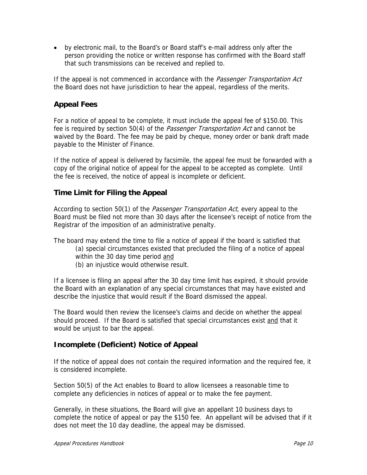• by electronic mail, to the Board's or Board staff's e-mail address only after the person providing the notice or written response has confirmed with the Board staff that such transmissions can be received and replied to.

If the appeal is not commenced in accordance with the Passenger Transportation Act the Board does not have jurisdiction to hear the appeal, regardless of the merits.

# **Appeal Fees**

For a notice of appeal to be complete, it must include the appeal fee of \$150.00. This fee is required by section 50(4) of the Passenger Transportation Act and cannot be waived by the Board. The fee may be paid by cheque, money order or bank draft made payable to the Minister of Finance.

If the notice of appeal is delivered by facsimile, the appeal fee must be forwarded with a copy of the original notice of appeal for the appeal to be accepted as complete. Until the fee is received, the notice of appeal is incomplete or deficient.

# **Time Limit for Filing the Appeal**

According to section 50(1) of the *Passenger Transportation Act*, every appeal to the Board must be filed not more than 30 days after the licensee's receipt of notice from the Registrar of the imposition of an administrative penalty.

The board may extend the time to file a notice of appeal if the board is satisfied that

- (a) special circumstances existed that precluded the filing of a notice of appeal
- within the 30 day time period and
- (b) an injustice would otherwise result.

If a licensee is filing an appeal after the 30 day time limit has expired, it should provide the Board with an explanation of any special circumstances that may have existed and describe the injustice that would result if the Board dismissed the appeal.

The Board would then review the licensee's claims and decide on whether the appeal should proceed. If the Board is satisfied that special circumstances exist and that it would be unjust to bar the appeal.

# **Incomplete (Deficient) Notice of Appeal**

If the notice of appeal does not contain the required information and the required fee, it is considered incomplete.

Section 50(5) of the Act enables to Board to allow licensees a reasonable time to complete any deficiencies in notices of appeal or to make the fee payment.

Generally, in these situations, the Board will give an appellant 10 business days to complete the notice of appeal or pay the \$150 fee. An appellant will be advised that if it does not meet the 10 day deadline, the appeal may be dismissed.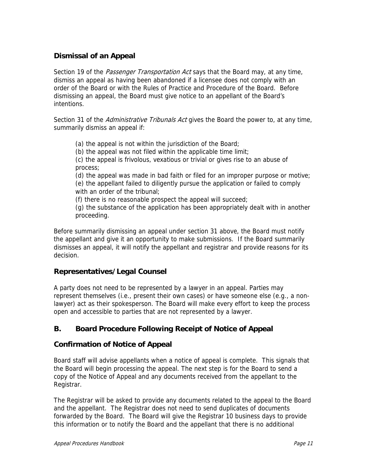# **Dismissal of an Appeal**

Section 19 of the *Passenger Transportation Act* says that the Board may, at any time, dismiss an appeal as having been abandoned if a licensee does not comply with an order of the Board or with the Rules of Practice and Procedure of the Board. Before dismissing an appeal, the Board must give notice to an appellant of the Board's intentions.

Section 31 of the *Administrative Tribunals Act* gives the Board the power to, at any time, summarily dismiss an appeal if:

(a) the appeal is not within the jurisdiction of the Board;

(b) the appeal was not filed within the applicable time limit;

(c) the appeal is frivolous, vexatious or trivial or gives rise to an abuse of process;

(d) the appeal was made in bad faith or filed for an improper purpose or motive; (e) the appellant failed to diligently pursue the application or failed to comply with an order of the tribunal:

(f) there is no reasonable prospect the appeal will succeed;

(g) the substance of the application has been appropriately dealt with in another proceeding.

Before summarily dismissing an appeal under section 31 above, the Board must notify the appellant and give it an opportunity to make submissions. If the Board summarily dismisses an appeal, it will notify the appellant and registrar and provide reasons for its decision.

#### **Representatives/Legal Counsel**

A party does not need to be represented by a lawyer in an appeal. Parties may represent themselves (i.e., present their own cases) or have someone else (e.g., a nonlawyer) act as their spokesperson. The Board will make every effort to keep the process open and accessible to parties that are not represented by a lawyer.

# **B. Board Procedure Following Receipt of Notice of Appeal**

#### **Confirmation of Notice of Appeal**

Board staff will advise appellants when a notice of appeal is complete. This signals that the Board will begin processing the appeal. The next step is for the Board to send a copy of the Notice of Appeal and any documents received from the appellant to the Registrar.

The Registrar will be asked to provide any documents related to the appeal to the Board and the appellant. The Registrar does not need to send duplicates of documents forwarded by the Board. The Board will give the Registrar 10 business days to provide this information or to notify the Board and the appellant that there is no additional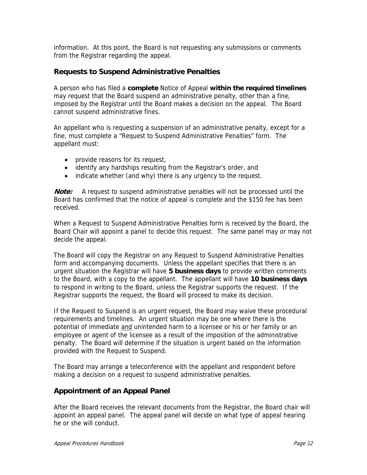information. At this point, the Board is not requesting any submissions or comments from the Registrar regarding the appeal.

#### **Requests to Suspend Administrative Penalties**

A person who has filed a **complete** Notice of Appeal **within the required timelines** may request that the Board suspend an administrative penalty, other than a fine, imposed by the Registrar until the Board makes a decision on the appeal. The Board cannot suspend administrative fines.

An appellant who is requesting a suspension of an administrative penalty, except for a fine, must complete a "Request to Suspend Administrative Penalties" form. The appellant must:

- provide reasons for its request,
- identify any hardships resulting from the Registrar's order, and
- indicate whether (and why) there is any urgency to the request.

**Note:** A request to suspend administrative penalties will not be processed until the Board has confirmed that the notice of appeal is complete and the \$150 fee has been received.

When a Request to Suspend Administrative Penalties form is received by the Board, the Board Chair will appoint a panel to decide this request. The same panel may or may not decide the appeal.

The Board will copy the Registrar on any Request to Suspend Administrative Penalties form and accompanying documents. Unless the appellant specifies that there is an urgent situation the Registrar will have **5 business days** to provide written comments to the Board, with a copy to the appellant. The appellant will have **10 business days** to respond in writing to the Board, unless the Registrar supports the request. If the Registrar supports the request, the Board will proceed to make its decision.

If the Request to Suspend is an urgent request, the Board may waive these procedural requirements and timelines. An urgent situation may be one where there is the potential of immediate and unintended harm to a licensee or his or her family or an employee or agent of the licensee as a result of the imposition of the administrative penalty. The Board will determine if the situation is urgent based on the information provided with the Request to Suspend.

The Board may arrange a teleconference with the appellant and respondent before making a decision on a request to suspend administrative penalties.

#### **Appointment of an Appeal Panel**

After the Board receives the relevant documents from the Registrar, the Board chair will appoint an appeal panel. The appeal panel will decide on what type of appeal hearing he or she will conduct.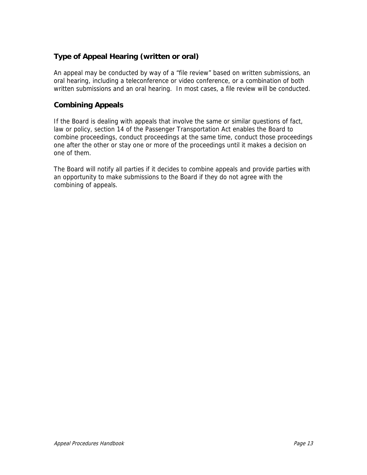# **Type of Appeal Hearing (written or oral)**

An appeal may be conducted by way of a "file review" based on written submissions, an oral hearing, including a teleconference or video conference, or a combination of both written submissions and an oral hearing. In most cases, a file review will be conducted.

# **Combining Appeals**

If the Board is dealing with appeals that involve the same or similar questions of fact, law or policy, section 14 of the Passenger Transportation Act enables the Board to combine proceedings, conduct proceedings at the same time, conduct those proceedings one after the other or stay one or more of the proceedings until it makes a decision on one of them.

The Board will notify all parties if it decides to combine appeals and provide parties with an opportunity to make submissions to the Board if they do not agree with the combining of appeals.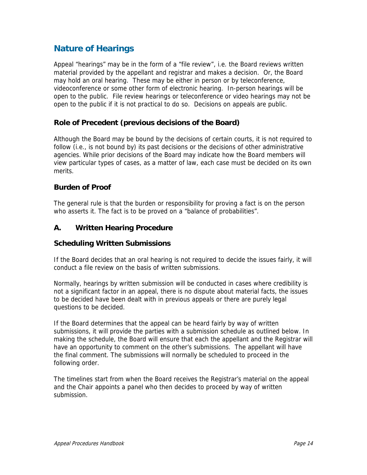# **Nature of Hearings**

Appeal "hearings" may be in the form of a "file review", i.e. the Board reviews written material provided by the appellant and registrar and makes a decision. Or, the Board may hold an oral hearing. These may be either in person or by teleconference, videoconference or some other form of electronic hearing. In-person hearings will be open to the public. File review hearings or teleconference or video hearings may not be open to the public if it is not practical to do so. Decisions on appeals are public.

# **Role of Precedent (previous decisions of the Board)**

Although the Board may be bound by the decisions of certain courts, it is not required to follow (i.e., is not bound by) its past decisions or the decisions of other administrative agencies. While prior decisions of the Board may indicate how the Board members will view particular types of cases, as a matter of law, each case must be decided on its own merits.

# **Burden of Proof**

The general rule is that the burden or responsibility for proving a fact is on the person who asserts it. The fact is to be proved on a "balance of probabilities".

# **A. Written Hearing Procedure**

#### **Scheduling Written Submissions**

If the Board decides that an oral hearing is not required to decide the issues fairly, it will conduct a file review on the basis of written submissions.

Normally, hearings by written submission will be conducted in cases where credibility is not a significant factor in an appeal, there is no dispute about material facts, the issues to be decided have been dealt with in previous appeals or there are purely legal questions to be decided.

If the Board determines that the appeal can be heard fairly by way of written submissions, it will provide the parties with a submission schedule as outlined below. In making the schedule, the Board will ensure that each the appellant and the Registrar will have an opportunity to comment on the other's submissions. The appellant will have the final comment. The submissions will normally be scheduled to proceed in the following order.

The timelines start from when the Board receives the Registrar's material on the appeal and the Chair appoints a panel who then decides to proceed by way of written submission.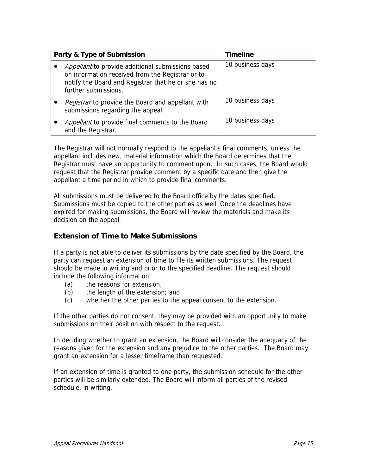| Party & Type of Submission                                                                                                                                                            | <b>Timeline</b>  |
|---------------------------------------------------------------------------------------------------------------------------------------------------------------------------------------|------------------|
| Appellant to provide additional submissions based<br>on information received from the Registrar or to<br>notify the Board and Registrar that he or she has no<br>further submissions. | 10 business days |
| Registrar to provide the Board and appellant with<br>submissions regarding the appeal.                                                                                                | 10 business days |
| Appellant to provide final comments to the Board<br>and the Registrar.                                                                                                                | 10 business days |

The Registrar will not normally respond to the appellant's final comments, unless the appellant includes new, material information which the Board determines that the Registrar must have an opportunity to comment upon. In such cases, the Board would request that the Registrar provide comment by a specific date and then give the appellant a time period in which to provide final comments.

All submissions must be delivered to the Board office by the dates specified. Submissions must be copied to the other parties as well. Once the deadlines have expired for making submissions, the Board will review the materials and make its decision on the appeal.

# **Extension of Time to Make Submissions**

If a party is not able to deliver its submissions by the date specified by the Board, the party can request an extension of time to file its written submissions. The request should be made in writing and prior to the specified deadline. The request should include the following information:

- (a) the reasons for extension;
- (b) the length of the extension; and
- (c) whether the other parties to the appeal consent to the extension.

If the other parties do not consent, they may be provided with an opportunity to make submissions on their position with respect to the request.

In deciding whether to grant an extension, the Board will consider the adequacy of the reasons given for the extension and any prejudice to the other parties. The Board may grant an extension for a lesser timeframe than requested.

If an extension of time is granted to one party, the submission schedule for the other parties will be similarly extended. The Board will inform all parties of the revised schedule, in writing.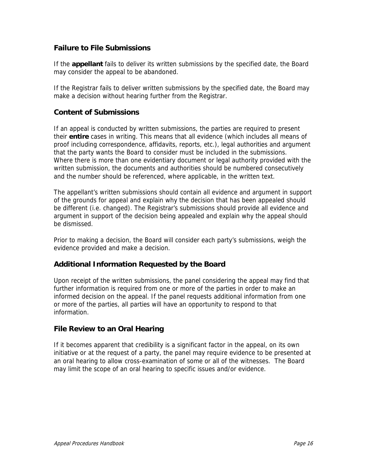#### **Failure to File Submissions**

If the **appellant** fails to deliver its written submissions by the specified date, the Board may consider the appeal to be abandoned.

If the Registrar fails to deliver written submissions by the specified date, the Board may make a decision without hearing further from the Registrar.

#### **Content of Submissions**

If an appeal is conducted by written submissions, the parties are required to present their **entire** cases in writing. This means that all evidence (which includes all means of proof including correspondence, affidavits, reports, etc.), legal authorities and argument that the party wants the Board to consider must be included in the submissions. Where there is more than one evidentiary document or legal authority provided with the written submission, the documents and authorities should be numbered consecutively and the number should be referenced, where applicable, in the written text.

The appellant's written submissions should contain all evidence and argument in support of the grounds for appeal and explain why the decision that has been appealed should be different (i.e. changed). The Registrar's submissions should provide all evidence and argument in support of the decision being appealed and explain why the appeal should be dismissed.

Prior to making a decision, the Board will consider each party's submissions, weigh the evidence provided and make a decision.

# **Additional Information Requested by the Board**

Upon receipt of the written submissions, the panel considering the appeal may find that further information is required from one or more of the parties in order to make an informed decision on the appeal. If the panel requests additional information from one or more of the parties, all parties will have an opportunity to respond to that information.

#### **File Review to an Oral Hearing**

If it becomes apparent that credibility is a significant factor in the appeal, on its own initiative or at the request of a party, the panel may require evidence to be presented at an oral hearing to allow cross-examination of some or all of the witnesses. The Board may limit the scope of an oral hearing to specific issues and/or evidence.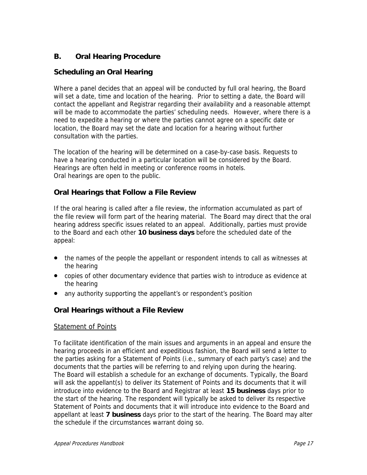# **B. Oral Hearing Procedure**

# **Scheduling an Oral Hearing**

Where a panel decides that an appeal will be conducted by full oral hearing, the Board will set a date, time and location of the hearing. Prior to setting a date, the Board will contact the appellant and Registrar regarding their availability and a reasonable attempt will be made to accommodate the parties' scheduling needs. However, where there is a need to expedite a hearing or where the parties cannot agree on a specific date or location, the Board may set the date and location for a hearing without further consultation with the parties.

The location of the hearing will be determined on a case-by-case basis. Requests to have a hearing conducted in a particular location will be considered by the Board. Hearings are often held in meeting or conference rooms in hotels. Oral hearings are open to the public.

# **Oral Hearings that Follow a File Review**

If the oral hearing is called after a file review, the information accumulated as part of the file review will form part of the hearing material. The Board may direct that the oral hearing address specific issues related to an appeal. Additionally, parties must provide to the Board and each other **10 business days** before the scheduled date of the appeal:

- the names of the people the appellant or respondent intends to call as witnesses at the hearing
- copies of other documentary evidence that parties wish to introduce as evidence at the hearing
- any authority supporting the appellant's or respondent's position

#### **Oral Hearings without a File Review**

#### Statement of Points

To facilitate identification of the main issues and arguments in an appeal and ensure the hearing proceeds in an efficient and expeditious fashion, the Board will send a letter to the parties asking for a Statement of Points (i.e., summary of each party's case) and the documents that the parties will be referring to and relying upon during the hearing. The Board will establish a schedule for an exchange of documents. Typically, the Board will ask the appellant(s) to deliver its Statement of Points and its documents that it will introduce into evidence to the Board and Registrar at least **15 business** days prior to the start of the hearing. The respondent will typically be asked to deliver its respective Statement of Points and documents that it will introduce into evidence to the Board and appellant at least **7 business** days prior to the start of the hearing. The Board may alter the schedule if the circumstances warrant doing so.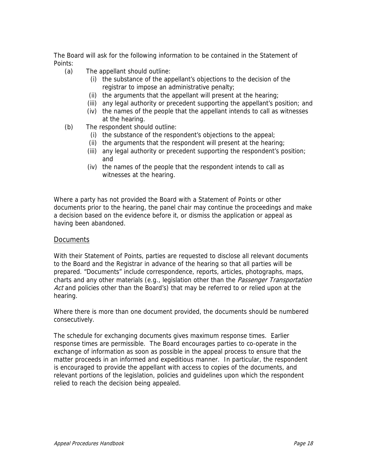The Board will ask for the following information to be contained in the Statement of Points:

- (a) The appellant should outline:
	- (i) the substance of the appellant's objections to the decision of the registrar to impose an administrative penalty;
	- (ii) the arguments that the appellant will present at the hearing;
	- (iii) any legal authority or precedent supporting the appellant's position; and
	- (iv) the names of the people that the appellant intends to call as witnesses at the hearing.
- (b) The respondent should outline:
	- (i) the substance of the respondent's objections to the appeal;
	- (ii) the arguments that the respondent will present at the hearing;
	- (iii) any legal authority or precedent supporting the respondent's position; and
	- (iv) the names of the people that the respondent intends to call as witnesses at the hearing.

Where a party has not provided the Board with a Statement of Points or other documents prior to the hearing, the panel chair may continue the proceedings and make a decision based on the evidence before it, or dismiss the application or appeal as having been abandoned.

#### **Documents**

With their Statement of Points, parties are requested to disclose all relevant documents to the Board and the Registrar in advance of the hearing so that all parties will be prepared. "Documents" include correspondence, reports, articles, photographs, maps, charts and any other materials (e.g., legislation other than the *Passenger Transportation* Act and policies other than the Board's) that may be referred to or relied upon at the hearing.

Where there is more than one document provided, the documents should be numbered consecutively.

The schedule for exchanging documents gives maximum response times. Earlier response times are permissible. The Board encourages parties to co-operate in the exchange of information as soon as possible in the appeal process to ensure that the matter proceeds in an informed and expeditious manner. In particular, the respondent is encouraged to provide the appellant with access to copies of the documents, and relevant portions of the legislation, policies and guidelines upon which the respondent relied to reach the decision being appealed.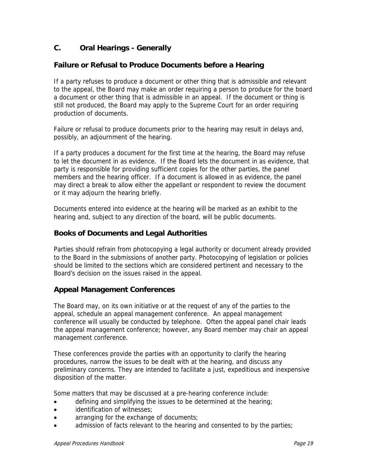# **C. Oral Hearings - Generally**

#### **Failure or Refusal to Produce Documents before a Hearing**

If a party refuses to produce a document or other thing that is admissible and relevant to the appeal, the Board may make an order requiring a person to produce for the board a document or other thing that is admissible in an appeal. If the document or thing is still not produced, the Board may apply to the Supreme Court for an order requiring production of documents.

Failure or refusal to produce documents prior to the hearing may result in delays and, possibly, an adjournment of the hearing.

If a party produces a document for the first time at the hearing, the Board may refuse to let the document in as evidence. If the Board lets the document in as evidence, that party is responsible for providing sufficient copies for the other parties, the panel members and the hearing officer. If a document is allowed in as evidence, the panel may direct a break to allow either the appellant or respondent to review the document or it may adjourn the hearing briefly.

Documents entered into evidence at the hearing will be marked as an exhibit to the hearing and, subject to any direction of the board, will be public documents.

#### **Books of Documents and Legal Authorities**

Parties should refrain from photocopying a legal authority or document already provided to the Board in the submissions of another party. Photocopying of legislation or policies should be limited to the sections which are considered pertinent and necessary to the Board's decision on the issues raised in the appeal.

#### **Appeal Management Conferences**

The Board may, on its own initiative or at the request of any of the parties to the appeal, schedule an appeal management conference. An appeal management conference will usually be conducted by telephone. Often the appeal panel chair leads the appeal management conference; however, any Board member may chair an appeal management conference.

These conferences provide the parties with an opportunity to clarify the hearing procedures, narrow the issues to be dealt with at the hearing, and discuss any preliminary concerns. They are intended to facilitate a just, expeditious and inexpensive disposition of the matter.

Some matters that may be discussed at a pre-hearing conference include:

- defining and simplifying the issues to be determined at the hearing;
- identification of witnesses;
- arranging for the exchange of documents;
- admission of facts relevant to the hearing and consented to by the parties;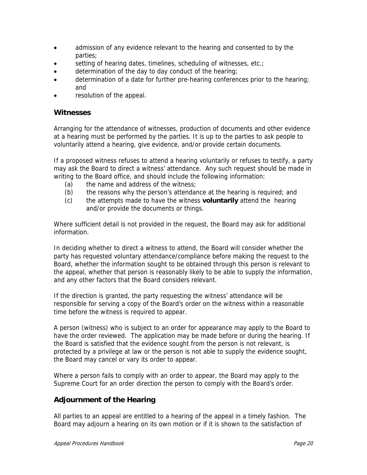- admission of any evidence relevant to the hearing and consented to by the parties;
- setting of hearing dates, timelines, scheduling of witnesses, etc.;
- determination of the day to day conduct of the hearing;
- determination of a date for further pre-hearing conferences prior to the hearing; and
- resolution of the appeal.

#### **Witnesses**

Arranging for the attendance of witnesses, production of documents and other evidence at a hearing must be performed by the parties. It is up to the parties to ask people to voluntarily attend a hearing, give evidence, and/or provide certain documents.

If a proposed witness refuses to attend a hearing voluntarily or refuses to testify, a party may ask the Board to direct a witness' attendance. Any such request should be made in writing to the Board office, and should include the following information:

- (a) the name and address of the witness;
- (b) the reasons why the person's attendance at the hearing is required; and
- (c) the attempts made to have the witness **voluntarily** attend the hearing and/or provide the documents or things.

Where sufficient detail is not provided in the request, the Board may ask for additional information.

In deciding whether to direct a witness to attend, the Board will consider whether the party has requested voluntary attendance/compliance before making the request to the Board, whether the information sought to be obtained through this person is relevant to the appeal, whether that person is reasonably likely to be able to supply the information, and any other factors that the Board considers relevant.

If the direction is granted, the party requesting the witness' attendance will be responsible for serving a copy of the Board's order on the witness within a reasonable time before the witness is required to appear.

A person (witness) who is subject to an order for appearance may apply to the Board to have the order reviewed. The application may be made before or during the hearing. If the Board is satisfied that the evidence sought from the person is not relevant, is protected by a privilege at law or the person is not able to supply the evidence sought, the Board may cancel or vary its order to appear.

Where a person fails to comply with an order to appear, the Board may apply to the Supreme Court for an order direction the person to comply with the Board's order.

#### **Adjournment of the Hearing**

All parties to an appeal are entitled to a hearing of the appeal in a timely fashion. The Board may adjourn a hearing on its own motion or if it is shown to the satisfaction of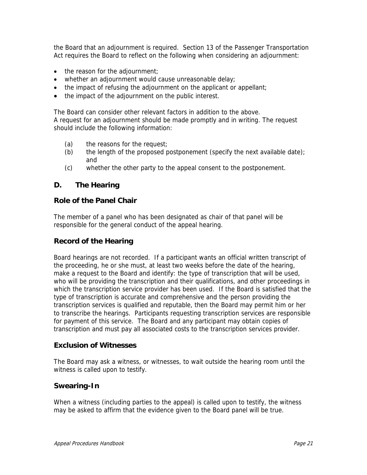the Board that an adjournment is required. Section 13 of the Passenger Transportation Act requires the Board to reflect on the following when considering an adjournment:

- the reason for the adjournment;
- whether an adjournment would cause unreasonable delay;
- the impact of refusing the adjournment on the applicant or appellant;
- the impact of the adjournment on the public interest.

The Board can consider other relevant factors in addition to the above. A request for an adjournment should be made promptly and in writing. The request should include the following information:

- (a) the reasons for the request;
- (b) the length of the proposed postponement (specify the next available date); and
- (c) whether the other party to the appeal consent to the postponement.

#### **D. The Hearing**

#### **Role of the Panel Chair**

The member of a panel who has been designated as chair of that panel will be responsible for the general conduct of the appeal hearing.

#### **Record of the Hearing**

Board hearings are not recorded. If a participant wants an official written transcript of the proceeding, he or she must, at least two weeks before the date of the hearing, make a request to the Board and identify: the type of transcription that will be used, who will be providing the transcription and their qualifications, and other proceedings in which the transcription service provider has been used. If the Board is satisfied that the type of transcription is accurate and comprehensive and the person providing the transcription services is qualified and reputable, then the Board may permit him or her to transcribe the hearings. Participants requesting transcription services are responsible for payment of this service. The Board and any participant may obtain copies of transcription and must pay all associated costs to the transcription services provider.

#### **Exclusion of Witnesses**

The Board may ask a witness, or witnesses, to wait outside the hearing room until the witness is called upon to testify.

#### **Swearing-In**

When a witness (including parties to the appeal) is called upon to testify, the witness may be asked to affirm that the evidence given to the Board panel will be true.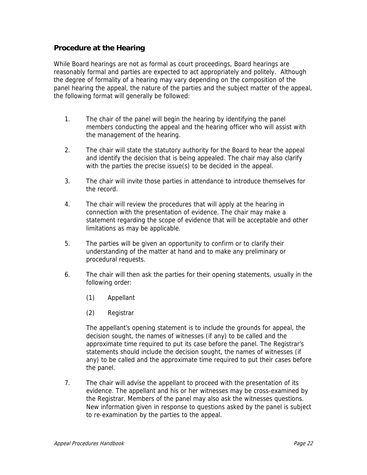#### **Procedure at the Hearing**

While Board hearings are not as formal as court proceedings, Board hearings are reasonably formal and parties are expected to act appropriately and politely. Although the degree of formality of a hearing may vary depending on the composition of the panel hearing the appeal, the nature of the parties and the subject matter of the appeal, the following format will generally be followed:

- 1. The chair of the panel will begin the hearing by identifying the panel members conducting the appeal and the hearing officer who will assist with the management of the hearing.
- 2. The chair will state the statutory authority for the Board to hear the appeal and identify the decision that is being appealed. The chair may also clarify with the parties the precise issue(s) to be decided in the appeal.
- 3. The chair will invite those parties in attendance to introduce themselves for the record.
- 4. The chair will review the procedures that will apply at the hearing in connection with the presentation of evidence. The chair may make a statement regarding the scope of evidence that will be acceptable and other limitations as may be applicable.
- 5. The parties will be given an opportunity to confirm or to clarify their understanding of the matter at hand and to make any preliminary or procedural requests.
- 6. The chair will then ask the parties for their opening statements, usually in the following order:
	- (1) Appellant
	- (2) Registrar

 The appellant's opening statement is to include the grounds for appeal, the decision sought, the names of witnesses (if any) to be called and the approximate time required to put its case before the panel. The Registrar's statements should include the decision sought, the names of witnesses (if any) to be called and the approximate time required to put their cases before the panel.

 7. The chair will advise the appellant to proceed with the presentation of its evidence. The appellant and his or her witnesses may be cross-examined by the Registrar. Members of the panel may also ask the witnesses questions. New information given in response to questions asked by the panel is subject to re-examination by the parties to the appeal.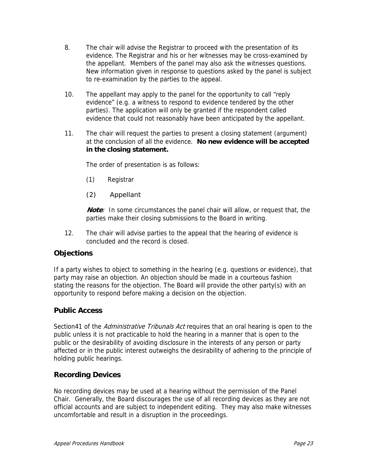- 8. The chair will advise the Registrar to proceed with the presentation of its evidence. The Registrar and his or her witnesses may be cross-examined by the appellant. Members of the panel may also ask the witnesses questions. New information given in response to questions asked by the panel is subject to re-examination by the parties to the appeal.
- 10. The appellant may apply to the panel for the opportunity to call "reply evidence" (e.g. a witness to respond to evidence tendered by the other parties). The application will only be granted if the respondent called evidence that could not reasonably have been anticipated by the appellant.
- 11. The chair will request the parties to present a closing statement (argument) at the conclusion of all the evidence. **No new evidence will be accepted in the closing statement.**

The order of presentation is as follows:

- (1) Registrar
- (2) Appellant

 **Note**: In some circumstances the panel chair will allow, or request that, the parties make their closing submissions to the Board in writing.

 12. The chair will advise parties to the appeal that the hearing of evidence is concluded and the record is closed.

#### **Objections**

If a party wishes to object to something in the hearing (e.g. questions or evidence), that party may raise an objection. An objection should be made in a courteous fashion stating the reasons for the objection. The Board will provide the other party(s) with an opportunity to respond before making a decision on the objection.

#### **Public Access**

Section41 of the Administrative Tribunals Act requires that an oral hearing is open to the public unless it is not practicable to hold the hearing in a manner that is open to the public or the desirability of avoiding disclosure in the interests of any person or party affected or in the public interest outweighs the desirability of adhering to the principle of holding public hearings.

#### **Recording Devices**

No recording devices may be used at a hearing without the permission of the Panel Chair. Generally, the Board discourages the use of all recording devices as they are not official accounts and are subject to independent editing. They may also make witnesses uncomfortable and result in a disruption in the proceedings.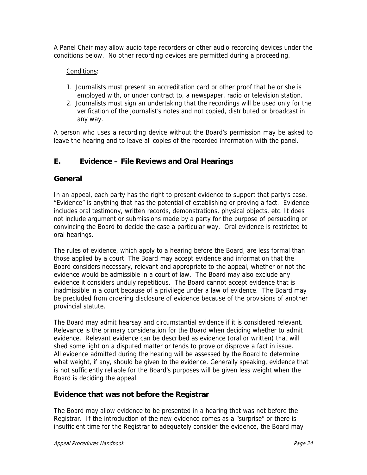A Panel Chair may allow audio tape recorders or other audio recording devices under the conditions below. No other recording devices are permitted during a proceeding.

#### Conditions:

- 1. Journalists must present an accreditation card or other proof that he or she is employed with, or under contract to, a newspaper, radio or television station.
- 2. Journalists must sign an undertaking that the recordings will be used only for the verification of the journalist's notes and not copied, distributed or broadcast in any way.

A person who uses a recording device without the Board's permission may be asked to leave the hearing and to leave all copies of the recorded information with the panel.

# **E. Evidence – File Reviews and Oral Hearings**

#### **General**

In an appeal, each party has the right to present evidence to support that party's case. "Evidence" is anything that has the potential of establishing or proving a fact. Evidence includes oral testimony, written records, demonstrations, physical objects, etc. It does not include argument or submissions made by a party for the purpose of persuading or convincing the Board to decide the case a particular way. Oral evidence is restricted to oral hearings.

The rules of evidence, which apply to a hearing before the Board, are less formal than those applied by a court. The Board may accept evidence and information that the Board considers necessary, relevant and appropriate to the appeal, whether or not the evidence would be admissible in a court of law. The Board may also exclude any evidence it considers unduly repetitious. The Board cannot accept evidence that is inadmissible in a court because of a privilege under a law of evidence. The Board may be precluded from ordering disclosure of evidence because of the provisions of another provincial statute.

The Board may admit hearsay and circumstantial evidence if it is considered relevant. Relevance is the primary consideration for the Board when deciding whether to admit evidence. Relevant evidence can be described as evidence (oral or written) that will shed some light on a disputed matter or tends to prove or disprove a fact in issue. All evidence admitted during the hearing will be assessed by the Board to determine what weight, if any, should be given to the evidence. Generally speaking, evidence that is not sufficiently reliable for the Board's purposes will be given less weight when the Board is deciding the appeal.

#### **Evidence that was not before the Registrar**

The Board may allow evidence to be presented in a hearing that was not before the Registrar. If the introduction of the new evidence comes as a "surprise" or there is insufficient time for the Registrar to adequately consider the evidence, the Board may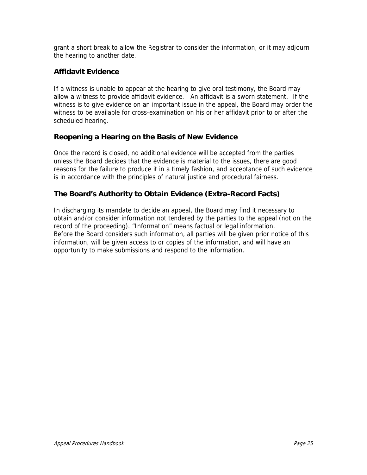grant a short break to allow the Registrar to consider the information, or it may adjourn the hearing to another date.

# **Affidavit Evidence**

If a witness is unable to appear at the hearing to give oral testimony, the Board may allow a witness to provide affidavit evidence. An affidavit is a sworn statement. If the witness is to give evidence on an important issue in the appeal, the Board may order the witness to be available for cross-examination on his or her affidavit prior to or after the scheduled hearing.

# **Reopening a Hearing on the Basis of New Evidence**

Once the record is closed, no additional evidence will be accepted from the parties unless the Board decides that the evidence is material to the issues, there are good reasons for the failure to produce it in a timely fashion, and acceptance of such evidence is in accordance with the principles of natural justice and procedural fairness.

# **The Board's Authority to Obtain Evidence (Extra-Record Facts)**

In discharging its mandate to decide an appeal, the Board may find it necessary to obtain and/or consider information not tendered by the parties to the appeal (not on the record of the proceeding). "Information" means factual or legal information. Before the Board considers such information, all parties will be given prior notice of this information, will be given access to or copies of the information, and will have an opportunity to make submissions and respond to the information.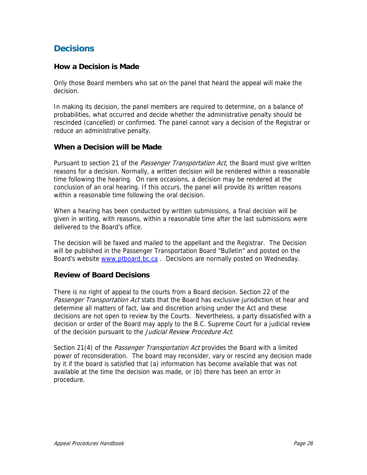# **Decisions**

#### **How a Decision is Made**

Only those Board members who sat on the panel that heard the appeal will make the decision.

In making its decision, the panel members are required to determine, on a balance of probabilities, what occurred and decide whether the administrative penalty should be rescinded (cancelled) or confirmed. The panel cannot vary a decision of the Registrar or reduce an administrative penalty.

#### **When a Decision will be Made**

Pursuant to section 21 of the *Passenger Transportation Act*, the Board must give written reasons for a decision. Normally, a written decision will be rendered within a reasonable time following the hearing. On rare occasions, a decision may be rendered at the conclusion of an oral hearing. If this occurs, the panel will provide its written reasons within a reasonable time following the oral decision.

When a hearing has been conducted by written submissions, a final decision will be given in writing, with reasons, within a reasonable time after the last submissions were delivered to the Board's office.

The decision will be faxed and mailed to the appellant and the Registrar. The Decision will be published in the Passenger Transportation Board "Bulletin" and posted on the Board's website www.ptboard.bc.ca. Decisions are normally posted on Wednesday.

#### **Review of Board Decisions**

There is no right of appeal to the courts from a Board decision. Section 22 of the Passenger Transportation Act stats that the Board has exclusive jurisdiction ot hear and determine all matters of fact, law and discretion arising under the Act and these decisions are not open to review by the Courts. Nevertheless, a party dissatisfied with a decision or order of the Board may apply to the B.C. Supreme Court for a judicial review of the decision pursuant to the Judicial Review Procedure Act.

Section 21(4) of the *Passenger Transportation Act* provides the Board with a limited power of reconsideration. The board may reconsider, vary or rescind any decision made by it if the board is satisfied that (a) information has become available that was not available at the time the decision was made, or (b) there has been an error in procedure.